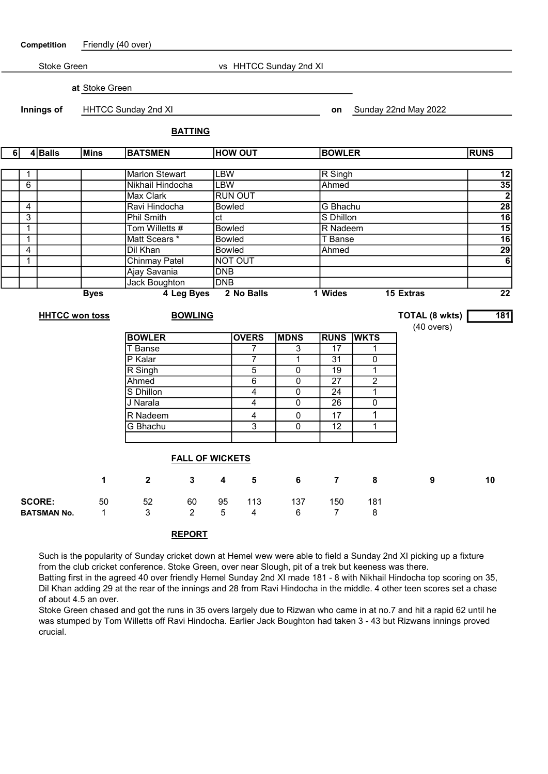| Friendly (40 over)<br>Competition |                       |                            |                                  |                                        |                         |                        |                        |                              |                      |                                               |                                                                                    |
|-----------------------------------|-----------------------|----------------------------|----------------------------------|----------------------------------------|-------------------------|------------------------|------------------------|------------------------------|----------------------|-----------------------------------------------|------------------------------------------------------------------------------------|
|                                   | Stoke Green           |                            |                                  |                                        |                         |                        | vs HHTCC Sunday 2nd XI |                              |                      |                                               |                                                                                    |
|                                   |                       | at Stoke Green             |                                  |                                        |                         |                        |                        |                              |                      |                                               |                                                                                    |
|                                   |                       |                            |                                  |                                        |                         |                        |                        |                              |                      |                                               |                                                                                    |
|                                   | Innings of            | <b>HHTCC Sunday 2nd XI</b> |                                  |                                        |                         |                        |                        |                              | Sunday 22nd May 2022 |                                               |                                                                                    |
|                                   |                       |                            |                                  | <b>BATTING</b>                         |                         |                        |                        |                              |                      |                                               |                                                                                    |
| $4$ Balls<br>6<br><b>Mins</b>     |                       |                            | <b>BATSMEN</b><br><b>HOW OUT</b> |                                        |                         |                        |                        | <b>BOWLER</b><br><b>RUNS</b> |                      |                                               |                                                                                    |
| 1                                 |                       |                            | <b>Marlon Stewart</b>            |                                        | <b>LBW</b>              |                        |                        | R Singh                      |                      |                                               | $\begin{array}{r}\n 12 \\ \hline\n 35 \\ \hline\n 28 \\ \hline\n 16\n \end{array}$ |
| 6                                 |                       |                            | Nikhail Hindocha                 |                                        | <b>LBW</b>              |                        |                        | Ahmed                        |                      |                                               |                                                                                    |
|                                   |                       |                            | Max Clark                        |                                        |                         | <b>RUN OUT</b>         |                        |                              |                      |                                               |                                                                                    |
| $\overline{4}$                    |                       |                            | Ravi Hindocha                    |                                        |                         | <b>Bowled</b>          |                        |                              | G Bhachu             |                                               |                                                                                    |
| 3                                 |                       |                            | <b>Phil Smith</b>                |                                        | ct                      |                        |                        |                              | S Dhillon            |                                               |                                                                                    |
| $\mathbf{1}$                      |                       |                            | Tom Willetts #                   |                                        |                         | <b>Bowled</b>          |                        |                              | R Nadeem             |                                               |                                                                                    |
| $\mathbf{1}$                      |                       |                            | Matt Scears *                    |                                        |                         | Bowled                 |                        |                              | <b>T</b> Banse       |                                               |                                                                                    |
| 4                                 |                       |                            | Dil Khan                         |                                        |                         | <b>Bowled</b><br>Ahmed |                        |                              |                      |                                               | $\overline{29}$                                                                    |
| $\mathbf{1}$                      |                       |                            |                                  | <b>Chinmay Patel</b><br><b>NOT OUT</b> |                         |                        |                        |                              |                      |                                               | $\overline{6}$                                                                     |
|                                   | Ajay Savania          |                            |                                  |                                        | <b>DNB</b>              |                        |                        |                              |                      |                                               |                                                                                    |
|                                   |                       |                            | Jack Boughton                    |                                        | <b>DNB</b>              |                        |                        |                              |                      |                                               |                                                                                    |
|                                   |                       | <b>Byes</b>                |                                  | 4 Leg Byes                             |                         | 2 No Balls             |                        | 1 Wides                      |                      | <b>15 Extras</b>                              | $\overline{22}$                                                                    |
|                                   | <b>HHTCC won toss</b> |                            | <b>BOWLING</b>                   |                                        |                         |                        |                        |                              |                      | <b>TOTAL (8 wkts)</b><br>$(40 \text{ overs})$ | 181                                                                                |
|                                   |                       |                            | <b>BOWLER</b>                    |                                        |                         | <b>OVERS</b>           | <b>MDNS</b>            | <b>RUNS</b>                  | <b>WKTS</b>          |                                               |                                                                                    |
|                                   |                       |                            | T Banse                          |                                        |                         | 7                      | 3                      | 17                           | 1                    |                                               |                                                                                    |
|                                   |                       |                            | P Kalar                          |                                        |                         | 7                      | $\overline{1}$         | $\overline{31}$              | 0                    |                                               |                                                                                    |
|                                   |                       |                            | R Singh                          |                                        |                         | 5                      | 0                      | 19                           | 1                    |                                               |                                                                                    |
|                                   |                       |                            | Ahmed                            |                                        |                         | $\overline{6}$         | $\overline{0}$         | $\overline{27}$              | $\overline{2}$       |                                               |                                                                                    |
|                                   |                       |                            | S Dhillon                        |                                        |                         | 4                      | $\overline{0}$         | $\overline{24}$              | $\overline{1}$       |                                               |                                                                                    |
|                                   |                       |                            | J Narala                         |                                        |                         | 4                      | $\Omega$               | 26                           | 0                    |                                               |                                                                                    |
|                                   |                       |                            | R Nadeem                         |                                        |                         | 4                      | 0                      | 17                           | 1                    |                                               |                                                                                    |
|                                   |                       |                            | G Bhachu                         |                                        |                         | 3                      | $\Omega$               | $\overline{12}$              | 1                    |                                               |                                                                                    |
|                                   |                       |                            |                                  |                                        |                         |                        |                        |                              |                      |                                               |                                                                                    |
| <b>FALL OF WICKETS</b>            |                       |                            |                                  |                                        |                         |                        |                        |                              |                      |                                               |                                                                                    |
|                                   |                       | $\mathbf{1}$               | $\overline{2}$                   | $\mathbf{3}$                           | $\overline{\mathbf{4}}$ | $5\phantom{.0}$        | 6                      | $\overline{7}$               | 8                    | 9                                             | 10                                                                                 |
|                                   | <b>SCORE:</b>         | 50                         | 52                               | 60                                     | 95                      | 113                    | 137                    | 150                          | 181                  |                                               |                                                                                    |
|                                   | <b>BATSMAN No.</b>    | $\mathbf{1}$               | 3                                | $\overline{2}$                         | 5                       | $\overline{4}$         | 6                      | $7^{\circ}$                  | 8                    |                                               |                                                                                    |

## REPORT

Such is the popularity of Sunday cricket down at Hemel wew were able to field a Sunday 2nd XI picking up a fixture from the club cricket conference. Stoke Green, over near Slough, pit of a trek but keeness was there.

Batting first in the agreed 40 over friendly Hemel Sunday 2nd XI made 181 - 8 with Nikhail Hindocha top scoring on 35, Dil Khan adding 29 at the rear of the innings and 28 from Ravi Hindocha in the middle. 4 other teen scores set a chase of about 4.5 an over.

Stoke Green chased and got the runs in 35 overs largely due to Rizwan who came in at no.7 and hit a rapid 62 until he was stumped by Tom Willetts off Ravi Hindocha. Earlier Jack Boughton had taken 3 - 43 but Rizwans innings proved crucial.